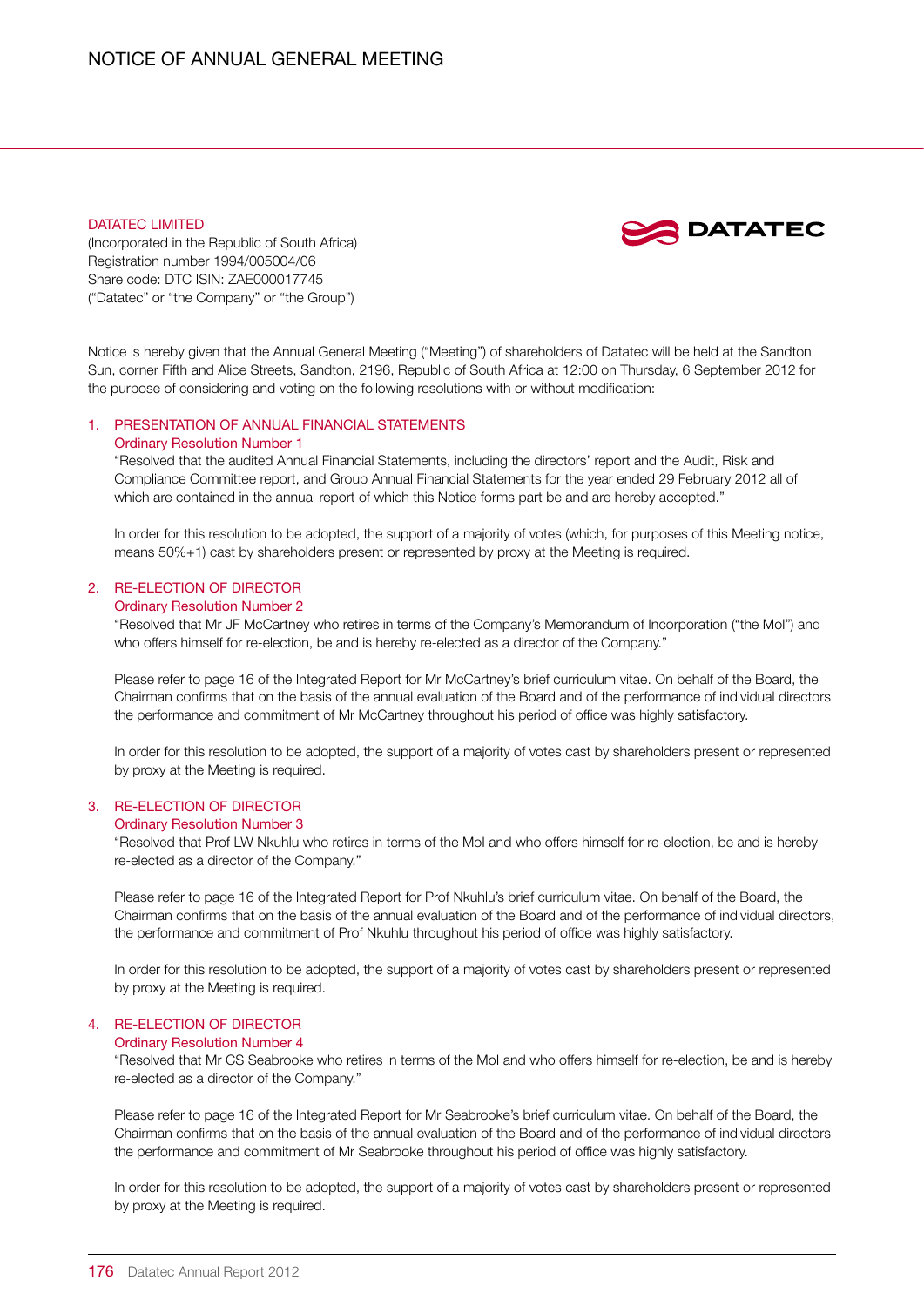### DATATEC LIMITED



(Incorporated in the Republic of South Africa) Registration number 1994/005004/06 Share code: DTC ISIN: ZAE000017745 ("Datatec" or "the Company" or "the Group")

Notice is hereby given that the Annual General Meeting ("Meeting") of shareholders of Datatec will be held at the Sandton Sun, corner Fifth and Alice Streets, Sandton, 2196, Republic of South Africa at 12:00 on Thursday, 6 September 2012 for the purpose of considering and voting on the following resolutions with or without modification:

# 1. PRESENTATION OF ANNUAL FINANCIAL STATEMENTS

#### Ordinary Resolution Number 1

"Resolved that the audited Annual Financial Statements, including the directors' report and the Audit, Risk and Compliance Committee report, and Group Annual Financial Statements for the year ended 29 February 2012 all of which are contained in the annual report of which this Notice forms part be and are hereby accepted."

In order for this resolution to be adopted, the support of a majority of votes (which, for purposes of this Meeting notice, means 50%+1) cast by shareholders present or represented by proxy at the Meeting is required.

# 2. RE-ELECTION OF DIRECTOR

# Ordinary Resolution Number 2

"Resolved that Mr JF McCartney who retires in terms of the Company's Memorandum of Incorporation ("the MoI") and who offers himself for re-election, be and is hereby re-elected as a director of the Company."

Please refer to page 16 of the Integrated Report for Mr McCartney's brief curriculum vitae. On behalf of the Board, the Chairman confirms that on the basis of the annual evaluation of the Board and of the performance of individual directors the performance and commitment of Mr McCartney throughout his period of office was highly satisfactory.

In order for this resolution to be adopted, the support of a majority of votes cast by shareholders present or represented by proxy at the Meeting is required.

# 3. RE-ELECTION OF DIRECTOR

### Ordinary Resolution Number 3

"Resolved that Prof LW Nkuhlu who retires in terms of the MoI and who offers himself for re-election, be and is hereby re-elected as a director of the Company."

Please refer to page 16 of the Integrated Report for Prof Nkuhlu's brief curriculum vitae. On behalf of the Board, the Chairman confirms that on the basis of the annual evaluation of the Board and of the performance of individual directors, the performance and commitment of Prof Nkuhlu throughout his period of office was highly satisfactory.

In order for this resolution to be adopted, the support of a majority of votes cast by shareholders present or represented by proxy at the Meeting is required.

# 4. RE-ELECTION OF DIRECTOR

# Ordinary Resolution Number 4

"Resolved that Mr CS Seabrooke who retires in terms of the MoI and who offers himself for re-election, be and is hereby re-elected as a director of the Company."

Please refer to page 16 of the Integrated Report for Mr Seabrooke's brief curriculum vitae. On behalf of the Board, the Chairman confirms that on the basis of the annual evaluation of the Board and of the performance of individual directors the performance and commitment of Mr Seabrooke throughout his period of office was highly satisfactory.

In order for this resolution to be adopted, the support of a majority of votes cast by shareholders present or represented by proxy at the Meeting is required.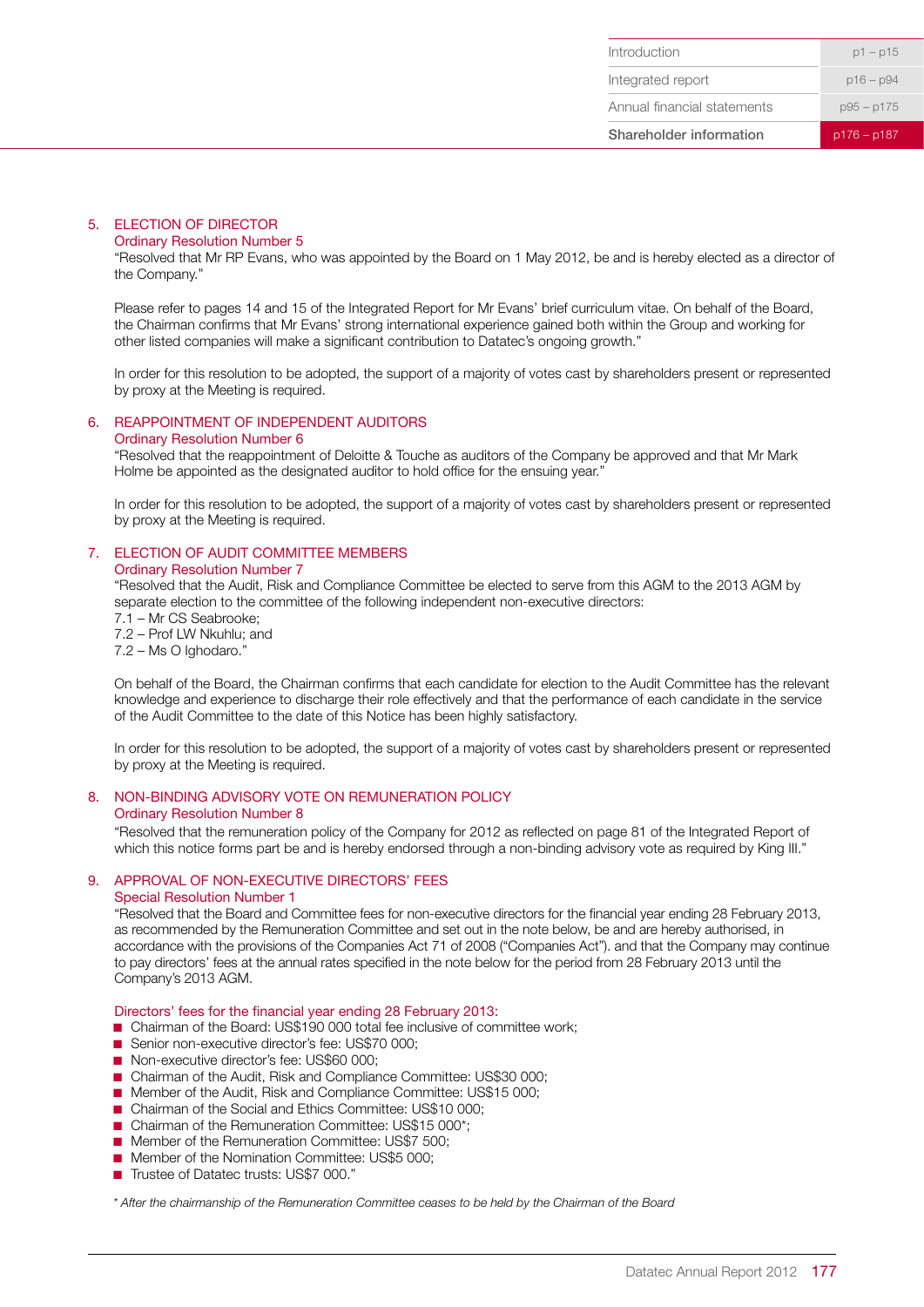### 5. ELECTION OF DIRECTOR

#### Ordinary Resolution Number 5

"Resolved that Mr RP Evans, who was appointed by the Board on 1 May 2012, be and is hereby elected as a director of the Company."

Please refer to pages 14 and 15 of the Integrated Report for Mr Evans' brief curriculum vitae. On behalf of the Board, the Chairman confirms that Mr Evans' strong international experience gained both within the Group and working for other listed companies will make a significant contribution to Datatec's ongoing growth."

In order for this resolution to be adopted, the support of a majority of votes cast by shareholders present or represented by proxy at the Meeting is required.

### 6. REAPPOINTMENT OF INDEPENDENT AUDITORS

### Ordinary Resolution Number 6

"Resolved that the reappointment of Deloitte & Touche as auditors of the Company be approved and that Mr Mark Holme be appointed as the designated auditor to hold office for the ensuing year."

In order for this resolution to be adopted, the support of a majority of votes cast by shareholders present or represented by proxy at the Meeting is required.

### 7. ELECTION OF AUDIT COMMITTEE MEMBERS Ordinary Resolution Number 7

"Resolved that the Audit, Risk and Compliance Committee be elected to serve from this AGM to the 2013 AGM by separate election to the committee of the following independent non-executive directors:

- 7.1 Mr CS Seabrooke;
- 7.2 Prof LW Nkuhlu; and
- 7.2 Ms O Ighodaro."

On behalf of the Board, the Chairman confirms that each candidate for election to the Audit Committee has the relevant knowledge and experience to discharge their role effectively and that the performance of each candidate in the service of the Audit Committee to the date of this Notice has been highly satisfactory.

In order for this resolution to be adopted, the support of a majority of votes cast by shareholders present or represented by proxy at the Meeting is required.

# 8. NON-BINDING ADVISORY VOTE ON REMUNERATION POLICY

### Ordinary Resolution Number 8

"Resolved that the remuneration policy of the Company for 2012 as reflected on page 81 of the Integrated Report of which this notice forms part be and is hereby endorsed through a non-binding advisory vote as required by King III."

### 9. APPROVAL OF NON-EXECUTIVE DIRECTORS' FEES

### Special Resolution Number 1

"Resolved that the Board and Committee fees for non-executive directors for the financial year ending 28 February 2013, as recommended by the Remuneration Committee and set out in the note below, be and are hereby authorised, in accordance with the provisions of the Companies Act 71 of 2008 ("Companies Act"). and that the Company may continue to pay directors' fees at the annual rates specified in the note below for the period from 28 February 2013 until the Company's 2013 AGM.

Directors' fees for the financial year ending 28 February 2013:

- Chairman of the Board: US\$190 000 total fee inclusive of committee work;
- Senior non-executive director's fee: US\$70 000:
- Non-executive director's fee: US\$60 000:
- Chairman of the Audit, Risk and Compliance Committee: US\$30 000;
- Member of the Audit, Risk and Compliance Committee: US\$15 000;
- Chairman of the Social and Ethics Committee: US\$10 000;
- Chairman of the Remuneration Committee: US\$15 000\*;
- Member of the Remuneration Committee: US\$7 500;
- Member of the Nomination Committee: US\$5 000;
- Trustee of Datatec trusts: US\$7 000."

*\* After the chairmanship of the Remuneration Committee ceases to be held by the Chairman of the Board*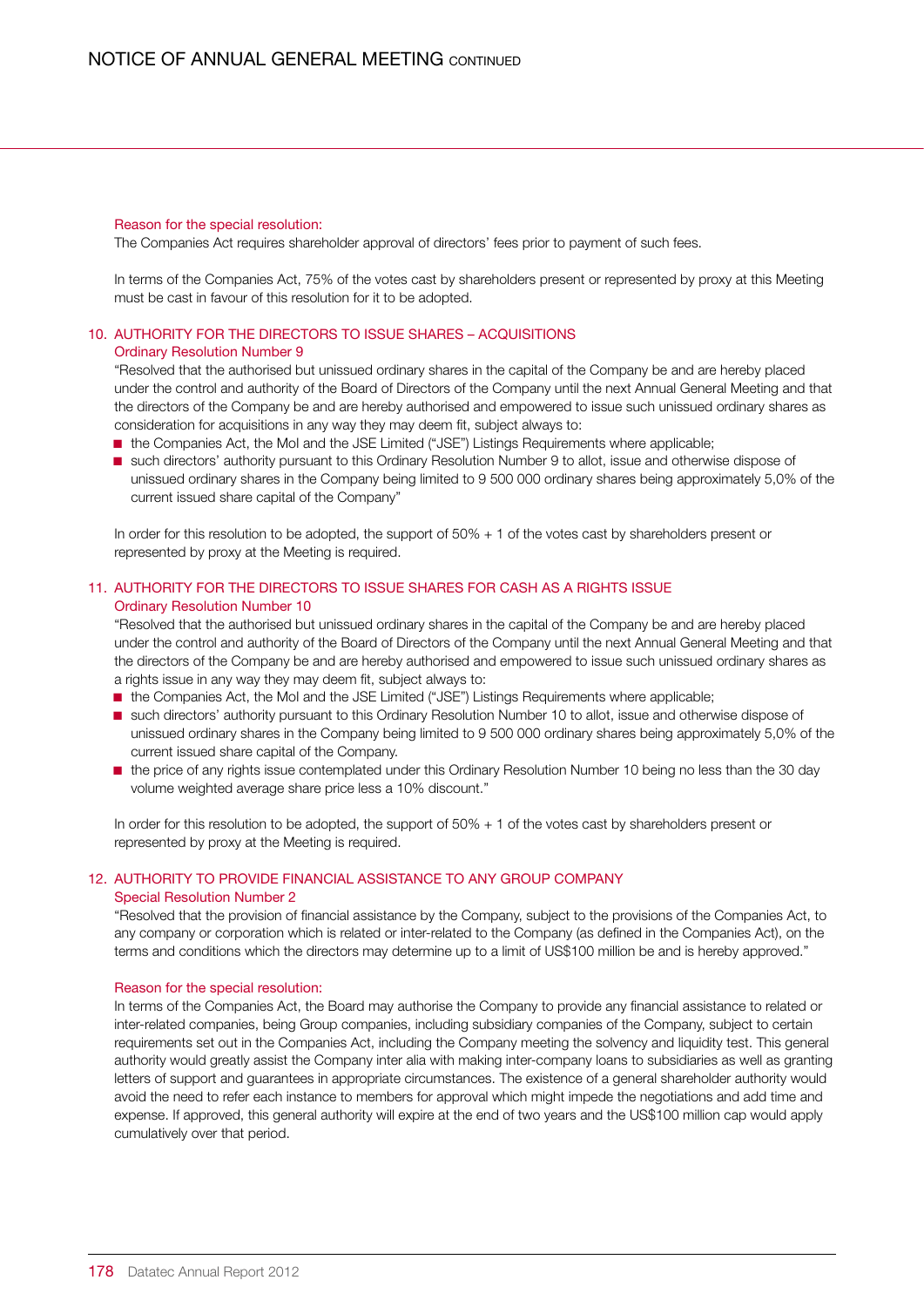### Reason for the special resolution:

The Companies Act requires shareholder approval of directors' fees prior to payment of such fees.

In terms of the Companies Act, 75% of the votes cast by shareholders present or represented by proxy at this Meeting must be cast in favour of this resolution for it to be adopted.

# 10. AUTHORITY FOR THE DIRECTORS TO ISSUE SHARES – ACQUISITIONS

## Ordinary Resolution Number 9

"Resolved that the authorised but unissued ordinary shares in the capital of the Company be and are hereby placed under the control and authority of the Board of Directors of the Company until the next Annual General Meeting and that the directors of the Company be and are hereby authorised and empowered to issue such unissued ordinary shares as consideration for acquisitions in any way they may deem fit, subject always to:

- the Companies Act, the MoI and the JSE Limited ("JSE") Listings Requirements where applicable;
- such directors' authority pursuant to this Ordinary Resolution Number 9 to allot, issue and otherwise dispose of unissued ordinary shares in the Company being limited to 9 500 000 ordinary shares being approximately 5,0% of the current issued share capital of the Company"

In order for this resolution to be adopted, the support of 50% + 1 of the votes cast by shareholders present or represented by proxy at the Meeting is required.

# 11. AUTHORITY FOR THE DIRECTORS TO ISSUE SHARES FOR CASH AS A RIGHTS ISSUE Ordinary Resolution Number 10

"Resolved that the authorised but unissued ordinary shares in the capital of the Company be and are hereby placed under the control and authority of the Board of Directors of the Company until the next Annual General Meeting and that the directors of the Company be and are hereby authorised and empowered to issue such unissued ordinary shares as a rights issue in any way they may deem fit, subject always to:

- the Companies Act, the MoI and the JSE Limited ("JSE") Listings Requirements where applicable;
- such directors' authority pursuant to this Ordinary Resolution Number 10 to allot, issue and otherwise dispose of unissued ordinary shares in the Company being limited to 9 500 000 ordinary shares being approximately 5,0% of the current issued share capital of the Company.
- the price of any rights issue contemplated under this Ordinary Resolution Number 10 being no less than the 30 day volume weighted average share price less a 10% discount."

In order for this resolution to be adopted, the support of 50% + 1 of the votes cast by shareholders present or represented by proxy at the Meeting is required.

# 12. AUTHORITY TO PROVIDE FINANCIAL ASSISTANCE TO ANY GROUP COMPANY

### Special Resolution Number 2

"Resolved that the provision of financial assistance by the Company, subject to the provisions of the Companies Act, to any company or corporation which is related or inter-related to the Company (as defined in the Companies Act), on the terms and conditions which the directors may determine up to a limit of US\$100 million be and is hereby approved."

### Reason for the special resolution:

In terms of the Companies Act, the Board may authorise the Company to provide any financial assistance to related or inter-related companies, being Group companies, including subsidiary companies of the Company, subject to certain requirements set out in the Companies Act, including the Company meeting the solvency and liquidity test. This general authority would greatly assist the Company inter alia with making inter-company loans to subsidiaries as well as granting letters of support and guarantees in appropriate circumstances. The existence of a general shareholder authority would avoid the need to refer each instance to members for approval which might impede the negotiations and add time and expense. If approved, this general authority will expire at the end of two years and the US\$100 million cap would apply cumulatively over that period.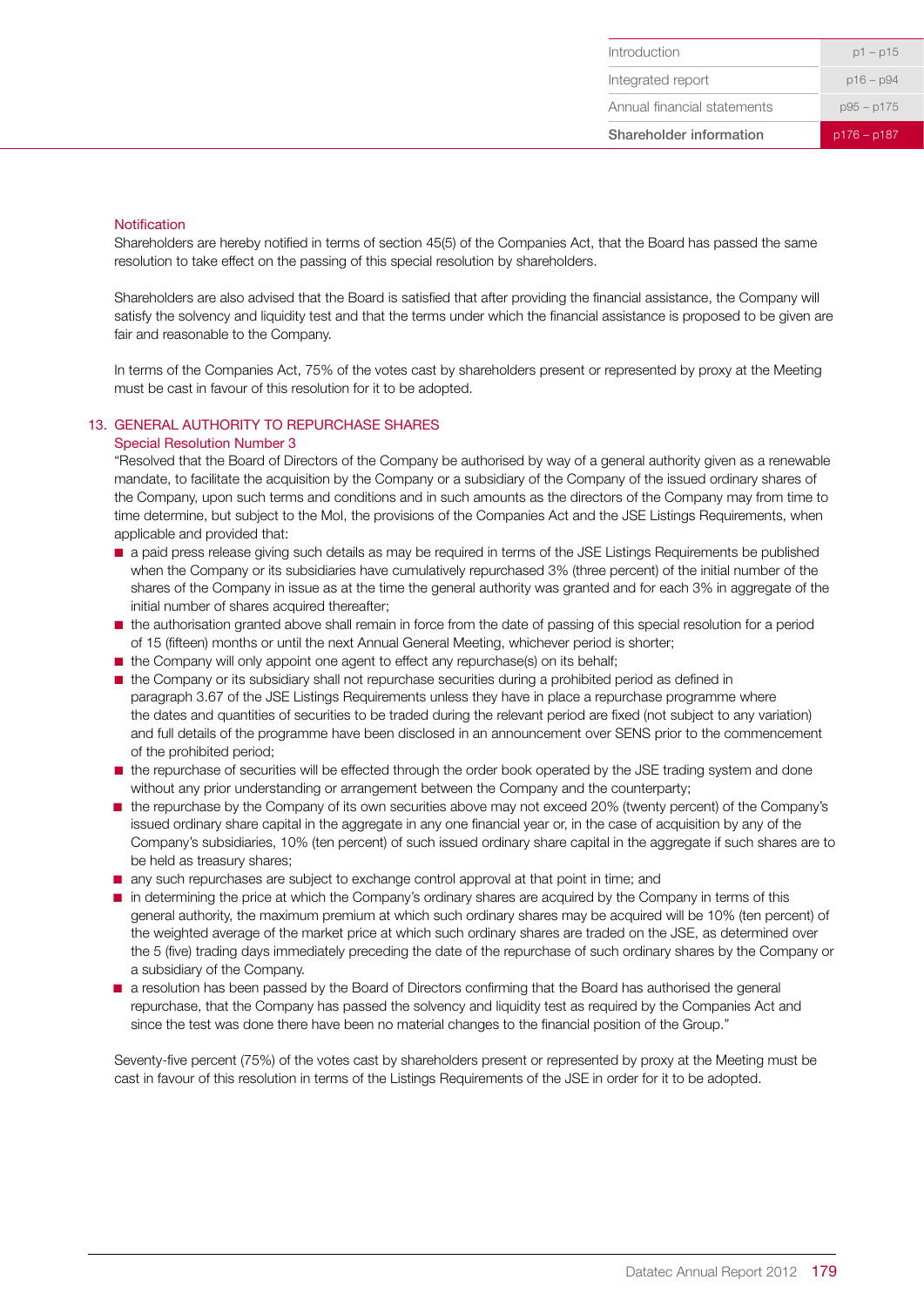### **Notification**

Shareholders are hereby notified in terms of section 45(5) of the Companies Act, that the Board has passed the same resolution to take effect on the passing of this special resolution by shareholders.

Shareholders are also advised that the Board is satisfied that after providing the financial assistance, the Company will satisfy the solvency and liquidity test and that the terms under which the financial assistance is proposed to be given are fair and reasonable to the Company.

In terms of the Companies Act, 75% of the votes cast by shareholders present or represented by proxy at the Meeting must be cast in favour of this resolution for it to be adopted.

# 13. GENERAL AUTHORITY TO REPURCHASE SHARES

### Special Resolution Number 3

"Resolved that the Board of Directors of the Company be authorised by way of a general authority given as a renewable mandate, to facilitate the acquisition by the Company or a subsidiary of the Company of the issued ordinary shares of the Company, upon such terms and conditions and in such amounts as the directors of the Company may from time to time determine, but subject to the MoI, the provisions of the Companies Act and the JSE Listings Requirements, when applicable and provided that:

- a paid press release giving such details as may be required in terms of the JSE Listings Requirements be published when the Company or its subsidiaries have cumulatively repurchased 3% (three percent) of the initial number of the shares of the Company in issue as at the time the general authority was granted and for each 3% in aggregate of the initial number of shares acquired thereafter;
- the authorisation granted above shall remain in force from the date of passing of this special resolution for a period of 15 (fifteen) months or until the next Annual General Meeting, whichever period is shorter;
- the Company will only appoint one agent to effect any repurchase(s) on its behalf;
- the Company or its subsidiary shall not repurchase securities during a prohibited period as defined in paragraph 3.67 of the JSE Listings Requirements unless they have in place a repurchase programme where the dates and quantities of securities to be traded during the relevant period are fixed (not subject to any variation) and full details of the programme have been disclosed in an announcement over SENS prior to the commencement of the prohibited period;
- the repurchase of securities will be effected through the order book operated by the JSE trading system and done without any prior understanding or arrangement between the Company and the counterparty;
- the repurchase by the Company of its own securities above may not exceed 20% (twenty percent) of the Company's issued ordinary share capital in the aggregate in any one financial year or, in the case of acquisition by any of the Company's subsidiaries, 10% (ten percent) of such issued ordinary share capital in the aggregate if such shares are to be held as treasury shares;
- any such repurchases are subject to exchange control approval at that point in time; and
- in determining the price at which the Company's ordinary shares are acquired by the Company in terms of this general authority, the maximum premium at which such ordinary shares may be acquired will be 10% (ten percent) of the weighted average of the market price at which such ordinary shares are traded on the JSE, as determined over the 5 (five) trading days immediately preceding the date of the repurchase of such ordinary shares by the Company or a subsidiary of the Company.
- a resolution has been passed by the Board of Directors confirming that the Board has authorised the general repurchase, that the Company has passed the solvency and liquidity test as required by the Companies Act and since the test was done there have been no material changes to the financial position of the Group."

Seventy-five percent (75%) of the votes cast by shareholders present or represented by proxy at the Meeting must be cast in favour of this resolution in terms of the Listings Requirements of the JSE in order for it to be adopted.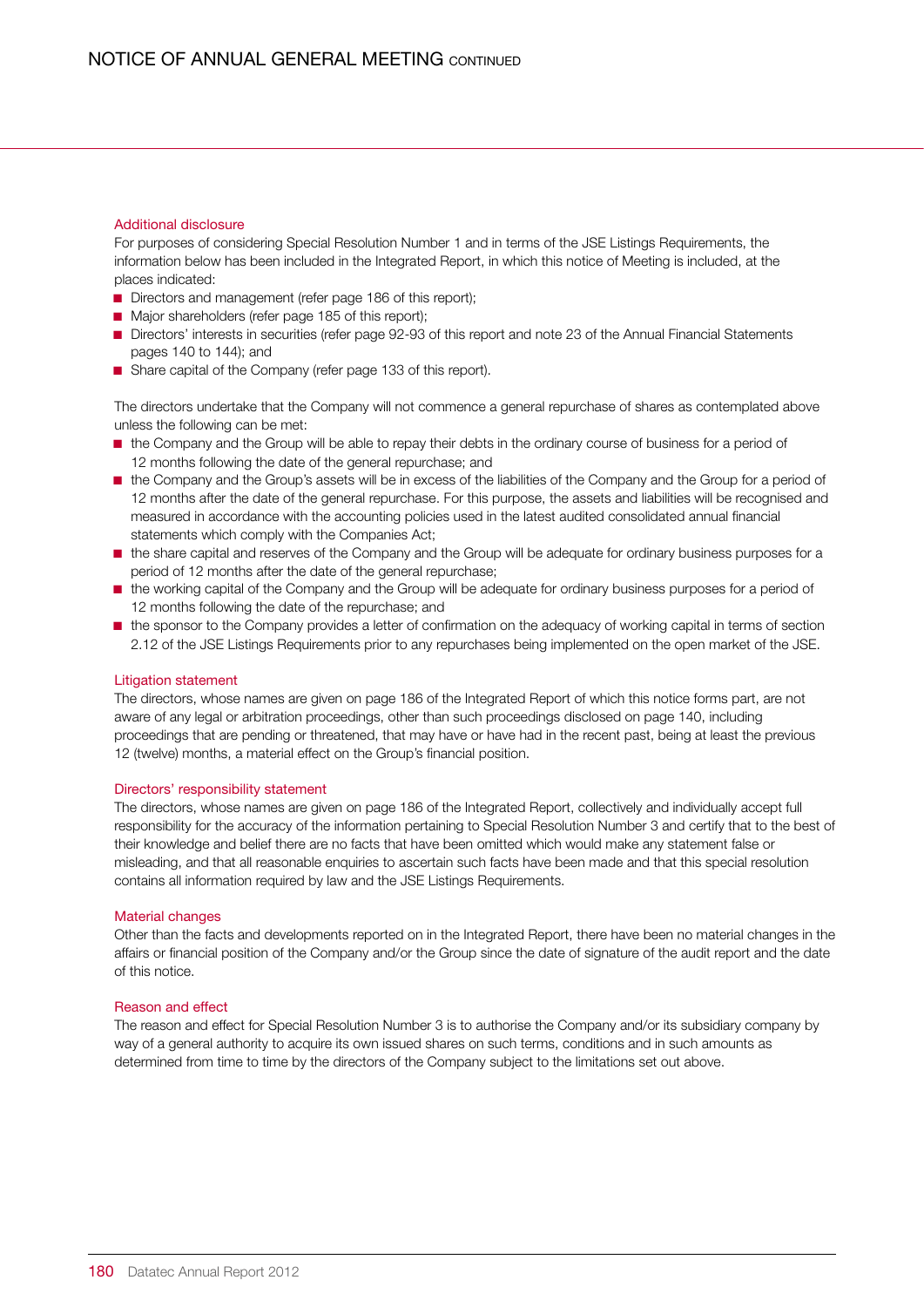### Additional disclosure

For purposes of considering Special Resolution Number 1 and in terms of the JSE Listings Requirements, the information below has been included in the Integrated Report, in which this notice of Meeting is included, at the places indicated:

- Directors and management (refer page 186 of this report);
- Major shareholders (refer page 185 of this report);
- Directors' interests in securities (refer page 92-93 of this report and note 23 of the Annual Financial Statements pages 140 to 144); and
- Share capital of the Company (refer page 133 of this report).

The directors undertake that the Company will not commence a general repurchase of shares as contemplated above unless the following can be met:

- the Company and the Group will be able to repay their debts in the ordinary course of business for a period of 12 months following the date of the general repurchase; and
- the Company and the Group's assets will be in excess of the liabilities of the Company and the Group for a period of 12 months after the date of the general repurchase. For this purpose, the assets and liabilities will be recognised and measured in accordance with the accounting policies used in the latest audited consolidated annual financial statements which comply with the Companies Act;
- the share capital and reserves of the Company and the Group will be adequate for ordinary business purposes for a period of 12 months after the date of the general repurchase;
- the working capital of the Company and the Group will be adequate for ordinary business purposes for a period of 12 months following the date of the repurchase; and
- the sponsor to the Company provides a letter of confirmation on the adequacy of working capital in terms of section 2.12 of the JSE Listings Requirements prior to any repurchases being implemented on the open market of the JSE.

### Litigation statement

The directors, whose names are given on page 186 of the Integrated Report of which this notice forms part, are not aware of any legal or arbitration proceedings, other than such proceedings disclosed on page 140, including proceedings that are pending or threatened, that may have or have had in the recent past, being at least the previous 12 (twelve) months, a material effect on the Group's financial position.

### Directors' responsibility statement

The directors, whose names are given on page 186 of the Integrated Report, collectively and individually accept full responsibility for the accuracy of the information pertaining to Special Resolution Number 3 and certify that to the best of their knowledge and belief there are no facts that have been omitted which would make any statement false or misleading, and that all reasonable enquiries to ascertain such facts have been made and that this special resolution contains all information required by law and the JSE Listings Requirements.

### Material changes

Other than the facts and developments reported on in the Integrated Report, there have been no material changes in the affairs or financial position of the Company and/or the Group since the date of signature of the audit report and the date of this notice.

### Reason and effect

The reason and effect for Special Resolution Number 3 is to authorise the Company and/or its subsidiary company by way of a general authority to acquire its own issued shares on such terms, conditions and in such amounts as determined from time to time by the directors of the Company subject to the limitations set out above.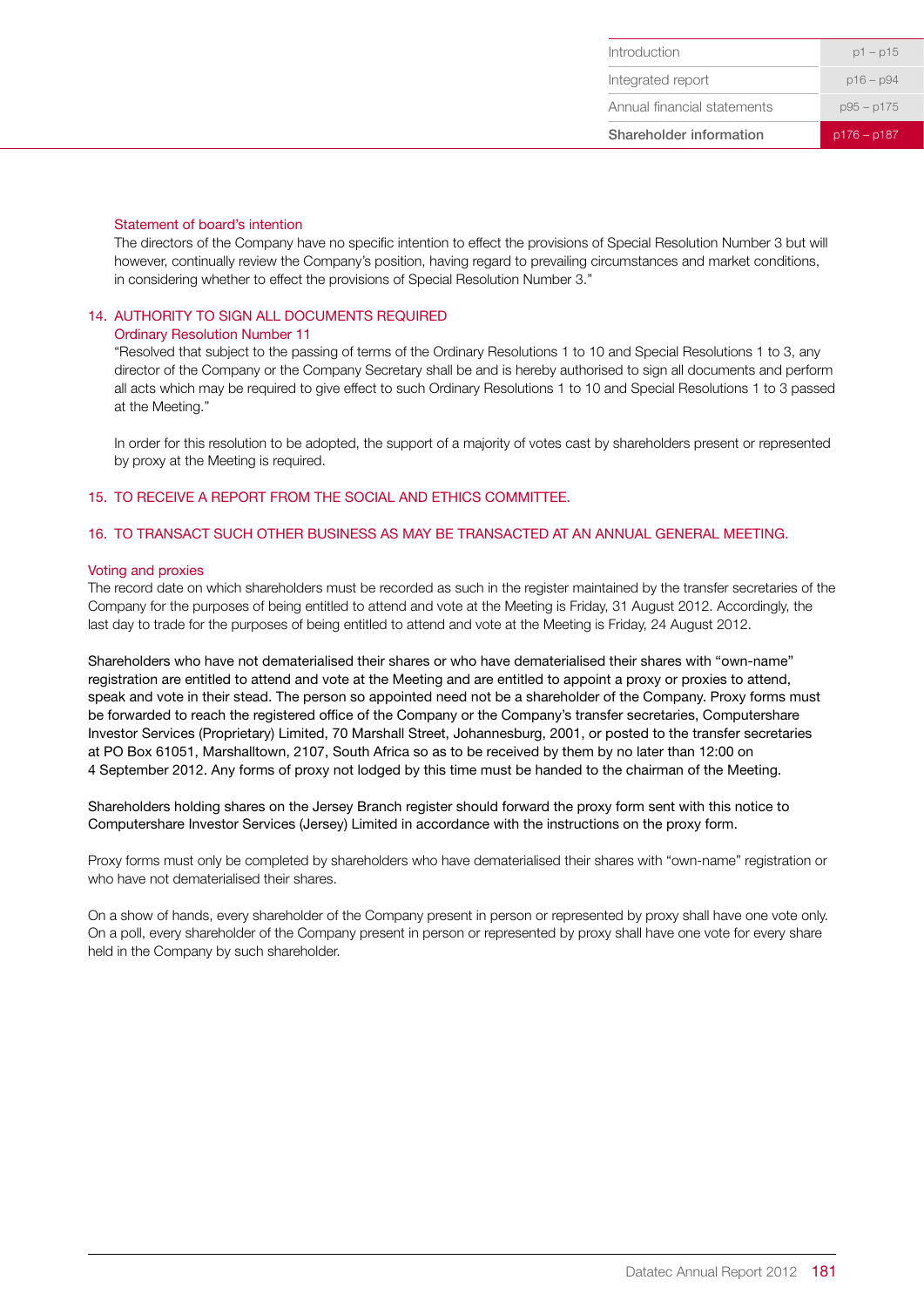### Statement of board's intention

The directors of the Company have no specific intention to effect the provisions of Special Resolution Number 3 but will however, continually review the Company's position, having regard to prevailing circumstances and market conditions, in considering whether to effect the provisions of Special Resolution Number 3."

# 14. AUTHORITY TO SIGN ALL DOCUMENTS REQUIRED

### Ordinary Resolution Number 11

"Resolved that subject to the passing of terms of the Ordinary Resolutions 1 to 10 and Special Resolutions 1 to 3, any director of the Company or the Company Secretary shall be and is hereby authorised to sign all documents and perform all acts which may be required to give effect to such Ordinary Resolutions 1 to 10 and Special Resolutions 1 to 3 passed at the Meeting."

In order for this resolution to be adopted, the support of a majority of votes cast by shareholders present or represented by proxy at the Meeting is required.

# 15. TO RECEIVE A REPORT FROM THE SOCIAL AND ETHICS COMMITTEE.

# 16. TO TRANSACT SUCH OTHER BUSINESS AS MAY BE TRANSACTED AT AN ANNUAL GENERAL MEETING.

### Voting and proxies

The record date on which shareholders must be recorded as such in the register maintained by the transfer secretaries of the Company for the purposes of being entitled to attend and vote at the Meeting is Friday, 31 August 2012. Accordingly, the last day to trade for the purposes of being entitled to attend and vote at the Meeting is Friday, 24 August 2012.

Shareholders who have not dematerialised their shares or who have dematerialised their shares with "own-name" registration are entitled to attend and vote at the Meeting and are entitled to appoint a proxy or proxies to attend, speak and vote in their stead. The person so appointed need not be a shareholder of the Company. Proxy forms must be forwarded to reach the registered office of the Company or the Company's transfer secretaries, Computershare Investor Services (Proprietary) Limited, 70 Marshall Street, Johannesburg, 2001, or posted to the transfer secretaries at PO Box 61051, Marshalltown, 2107, South Africa so as to be received by them by no later than 12:00 on 4 September 2012. Any forms of proxy not lodged by this time must be handed to the chairman of the Meeting.

Shareholders holding shares on the Jersey Branch register should forward the proxy form sent with this notice to Computershare Investor Services (Jersey) Limited in accordance with the instructions on the proxy form.

Proxy forms must only be completed by shareholders who have dematerialised their shares with "own-name" registration or who have not dematerialised their shares.

On a show of hands, every shareholder of the Company present in person or represented by proxy shall have one vote only. On a poll, every shareholder of the Company present in person or represented by proxy shall have one vote for every share held in the Company by such shareholder.